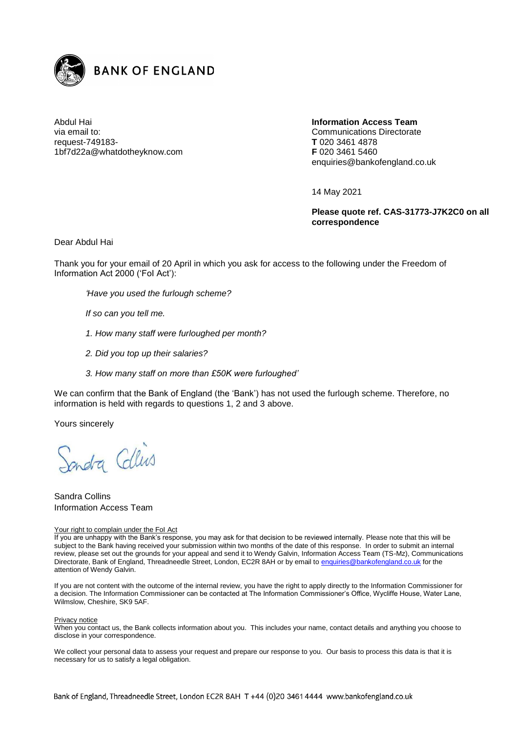

Abdul Hai via email to: request-749183- 1bf7d22a@whatdotheyknow.com **Information Access Team** Communications Directorate **T** 020 3461 4878 **F** 020 3461 5460 enquiries@bankofengland.co.uk

14 May 2021

**Please quote ref. CAS-31773-J7K2C0 on all correspondence**

Dear Abdul Hai

Thank you for your email of 20 April in which you ask for access to the following under the Freedom of Information Act 2000 ('FoI Act'):

*'Have you used the furlough scheme?*

*If so can you tell me.*

- *1. How many staff were furloughed per month?*
- *2. Did you top up their salaries?*
- *3. How many staff on more than £50K were furloughed'*

We can confirm that the Bank of England (the 'Bank') has not used the furlough scheme. Therefore, no information is held with regards to questions 1, 2 and 3 above.

Yours sincerely

Sondra Collins

Sandra Collins Information Access Team

## Your right to complain under the FoI Act

If you are unhappy with the Bank's response, you may ask for that decision to be reviewed internally. Please note that this will be subject to the Bank having received your submission within two months of the date of this response. In order to submit an internal review, please set out the grounds for your appeal and send it to Wendy Galvin, Information Access Team (TS-Mz), Communications Directorate, Bank of England, Threadneedle Street, London, EC2R 8AH or by email to [enquiries@bankofengland.co.uk](mailto:xxxxxxxxx@xxxxxxxxxxxxx.xx.xx) for the attention of Wendy Galvin.

If you are not content with the outcome of the internal review, you have the right to apply directly to the Information Commissioner for a decision. The Information Commissioner can be contacted at The Information Commissioner's Office, Wycliffe House, Water Lane, Wilmslow, Cheshire, SK9 5AF.

## Privacy notice

When you contact us, the Bank collects information about you. This includes your name, contact details and anything you choose to disclose in your correspondence.

We collect your personal data to assess your request and prepare our response to you. Our basis to process this data is that it is necessary for us to satisfy a legal obligation.